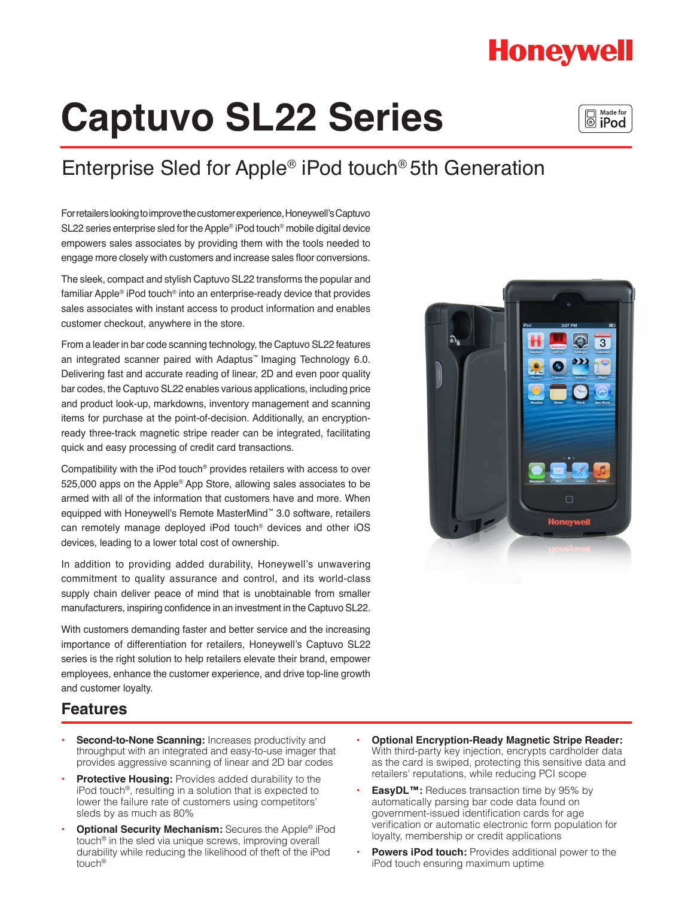## **Honeywell**

# **Captuvo SL22 Series**

## Enterprise Sled for Apple® iPod touch® 5th Generation

For retailers looking to improve the customer experience, Honeywell's Captuvo SL22 series enterprise sled for the Apple® iPod touch® mobile digital device empowers sales associates by providing them with the tools needed to engage more closely with customers and increase sales floor conversions.

The sleek, compact and stylish Captuvo SL22 transforms the popular and familiar Apple® iPod touch® into an enterprise-ready device that provides sales associates with instant access to product information and enables customer checkout, anywhere in the store.

From a leader in bar code scanning technology, the Captuvo SL22 features an integrated scanner paired with Adaptus™ Imaging Technology 6.0. Delivering fast and accurate reading of linear, 2D and even poor quality bar codes, the Captuvo SL22 enables various applications, including price and product look-up, markdowns, inventory management and scanning items for purchase at the point-of-decision. Additionally, an encryptionready three-track magnetic stripe reader can be integrated, facilitating quick and easy processing of credit card transactions.

Compatibility with the iPod touch® provides retailers with access to over 525,000 apps on the Apple® App Store, allowing sales associates to be armed with all of the information that customers have and more. When equipped with Honeywell's Remote MasterMind™ 3.0 software, retailers can remotely manage deployed iPod touch® devices and other iOS devices, leading to a lower total cost of ownership.

In addition to providing added durability, Honeywell's unwavering commitment to quality assurance and control, and its world-class supply chain deliver peace of mind that is unobtainable from smaller manufacturers, inspiring confidence in an investment in the Captuvo SL22.

With customers demanding faster and better service and the increasing importance of differentiation for retailers, Honeywell's Captuvo SL22 series is the right solution to help retailers elevate their brand, empower employees, enhance the customer experience, and drive top-line growth and customer loyalty.



### **Features**

- **Second-to-None Scanning: Increases productivity and** throughput with an integrated and easy-to-use imager that provides aggressive scanning of linear and 2D bar codes
- **Protective Housing: Provides added durability to the** iPod touch®, resulting in a solution that is expected to lower the failure rate of customers using competitors' sleds by as much as 80%
- **• Optional Security Mechanism:** Secures the Apple® iPod touch® in the sled via unique screws, improving overall durability while reducing the likelihood of theft of the iPod touch®
- **Optional Encryption-Ready Magnetic Stripe Reader:** With third-party key injection, encrypts cardholder data as the card is swiped, protecting this sensitive data and retailers' reputations, while reducing PCI scope
- **EasyDL™:** Reduces transaction time by 95% by automatically parsing bar code data found on government-issued identification cards for age verification or automatic electronic form population for loyalty, membership or credit applications
- **Powers iPod touch:** Provides additional power to the iPod touch ensuring maximum uptime